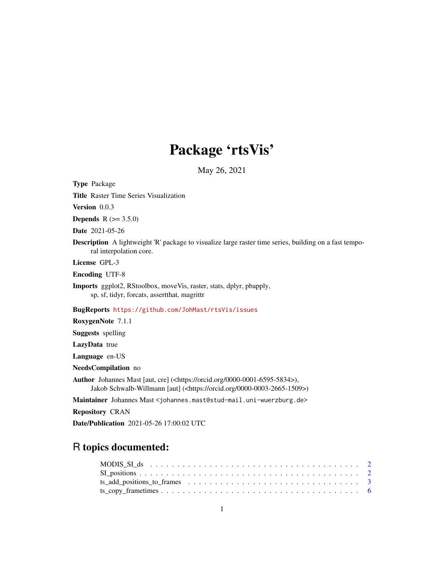## Package 'rtsVis'

May 26, 2021

<span id="page-0-0"></span>Type Package

Title Raster Time Series Visualization

Version 0.0.3

**Depends** R  $(>= 3.5.0)$ 

Date 2021-05-26

Description A lightweight 'R' package to visualize large raster time series, building on a fast temporal interpolation core.

License GPL-3

Encoding UTF-8

Imports ggplot2, RStoolbox, moveVis, raster, stats, dplyr, pbapply, sp, sf, tidyr, forcats, assertthat, magrittr

BugReports <https://github.com/JohMast/rtsVis/issues>

RoxygenNote 7.1.1

Suggests spelling

LazyData true

Language en-US

NeedsCompilation no

Author Johannes Mast [aut, cre] (<https://orcid.org/0000-0001-6595-5834>), Jakob Schwalb-Willmann [aut] (<https://orcid.org/0000-0003-2665-1509>)

Maintainer Johannes Mast <johannes.mast@stud-mail.uni-wuerzburg.de>

Repository CRAN

Date/Publication 2021-05-26 17:00:02 UTC

### R topics documented: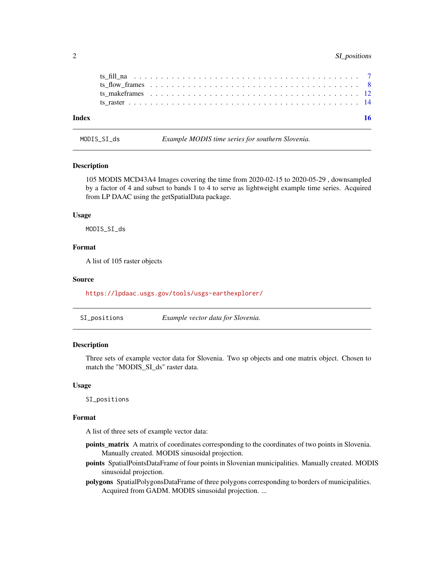#### <span id="page-1-0"></span>2 SI\_positions

| Index |  |  |  | 16 |
|-------|--|--|--|----|
|       |  |  |  |    |
|       |  |  |  |    |
|       |  |  |  |    |
|       |  |  |  |    |
|       |  |  |  |    |

MODIS\_SI\_ds *Example MODIS time series for southern Slovenia.*

#### Description

105 MODIS MCD43A4 Images covering the time from 2020-02-15 to 2020-05-29 , downsampled by a factor of 4 and subset to bands 1 to 4 to serve as lightweight example time series. Acquired from LP DAAC using the getSpatialData package.

#### Usage

MODIS\_SI\_ds

#### Format

A list of 105 raster objects

#### Source

<https://lpdaac.usgs.gov/tools/usgs-earthexplorer/>

| SI_positions | Example vector data for Slovenia. |
|--------------|-----------------------------------|
|--------------|-----------------------------------|

#### Description

Three sets of example vector data for Slovenia. Two sp objects and one matrix object. Chosen to match the "MODIS\_SI\_ds" raster data.

#### Usage

SI\_positions

#### Format

A list of three sets of example vector data:

- points\_matrix A matrix of coordinates corresponding to the coordinates of two points in Slovenia. Manually created. MODIS sinusoidal projection.
- points SpatialPointsDataFrame of four points in Slovenian municipalities. Manually created. MODIS sinusoidal projection.
- polygons SpatialPolygonsDataFrame of three polygons corresponding to borders of municipalities. Acquired from GADM. MODIS sinusoidal projection. ...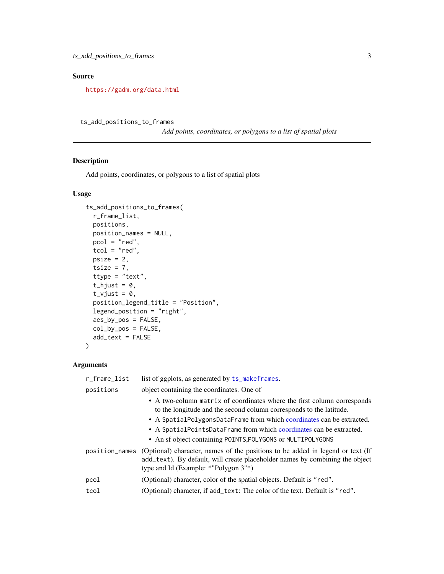#### <span id="page-2-0"></span>Source

<https://gadm.org/data.html>

```
ts_add_positions_to_frames
```
*Add points, coordinates, or polygons to a list of spatial plots*

#### Description

Add points, coordinates, or polygons to a list of spatial plots

#### Usage

```
ts_add_positions_to_frames(
 r_frame_list,
 positions,
 position_names = NULL,
 pcol = "red",tcol = "red",psize = 2,tsize = 7,
  ttype = "text",
  t_{\text{light}} = 0,
  t_vjust = 0,
  position_legend_title = "Position",
  legend_position = "right",
  aes_by_pos = FALSE,
  col_by_pos = FALSE,
  add_text = FALSE
)
```
#### Arguments

| list of ggplots, as generated by ts_makeframes.                                                                                                                                                                          |
|--------------------------------------------------------------------------------------------------------------------------------------------------------------------------------------------------------------------------|
| object containing the coordinates. One of                                                                                                                                                                                |
| • A two-column matrix of coordinates where the first column corresponds<br>to the longitude and the second column corresponds to the latitude.                                                                           |
| • A SpatialPolygonsDataFrame from which coordinates can be extracted.                                                                                                                                                    |
| • A SpatialPointsDataFrame from which coordinates can be extracted.                                                                                                                                                      |
| • An sf object containing POINTS, POLYGONS or MULTIPOLYGONS                                                                                                                                                              |
| (Optional) character, names of the positions to be added in legend or text (If<br>position_names<br>add_text). By default, will create placeholder names by combining the object<br>type and Id (Example: *"Polygon 3"*) |
| (Optional) character, color of the spatial objects. Default is "red".                                                                                                                                                    |
| (Optional) character, if add_text: The color of the text. Default is "red".                                                                                                                                              |
|                                                                                                                                                                                                                          |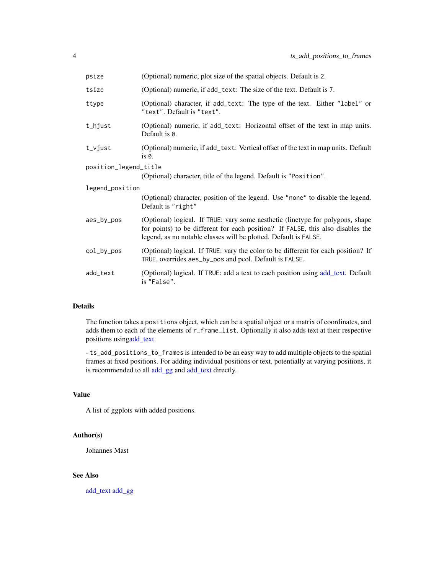<span id="page-3-0"></span>

| psize                 | (Optional) numeric, plot size of the spatial objects. Default is 2.                                                                                                                                                                   |
|-----------------------|---------------------------------------------------------------------------------------------------------------------------------------------------------------------------------------------------------------------------------------|
| tsize                 | (Optional) numeric, if add_text: The size of the text. Default is 7.                                                                                                                                                                  |
| ttype                 | (Optional) character, if add_text: The type of the text. Either "label" or<br>"text". Default is "text".                                                                                                                              |
| t_hjust               | (Optional) numeric, if add_text: Horizontal offset of the text in map units.<br>Default is 0.                                                                                                                                         |
| $t_v$ yjust           | (Optional) numeric, if add_text: Vertical offset of the text in map units. Default<br>$is0$ .                                                                                                                                         |
| position_legend_title |                                                                                                                                                                                                                                       |
|                       | (Optional) character, title of the legend. Default is "Position".                                                                                                                                                                     |
| legend_position       |                                                                                                                                                                                                                                       |
|                       | (Optional) character, position of the legend. Use "none" to disable the legend.<br>Default is "right"                                                                                                                                 |
| aes_by_pos            | (Optional) logical. If TRUE: vary some aesthetic (linetype for polygons, shape<br>for points) to be different for each position? If FALSE, this also disables the<br>legend, as no notable classes will be plotted. Default is FALSE. |
| col_by_pos            | (Optional) logical. If TRUE: vary the color to be different for each position? If<br>TRUE, overrides aes_by_pos and pcol. Default is FALSE.                                                                                           |
| add_text              | (Optional) logical. If TRUE: add a text to each position using add_text. Default<br>is "False".                                                                                                                                       |

#### Details

The function takes a positions object, which can be a spatial object or a matrix of coordinates, and adds them to each of the elements of r\_frame\_list. Optionally it also adds text at their respective positions usin[gadd\\_text.](#page-0-0)

- ts\_add\_positions\_to\_frames is intended to be an easy way to add multiple objects to the spatial frames at fixed positions. For adding individual positions or text, potentially at varying positions, it is recommended to all [add\\_gg](#page-0-0) and [add\\_text](#page-0-0) directly.

#### Value

A list of ggplots with added positions.

#### Author(s)

Johannes Mast

#### See Also

[add\\_text](#page-0-0) [add\\_gg](#page-0-0)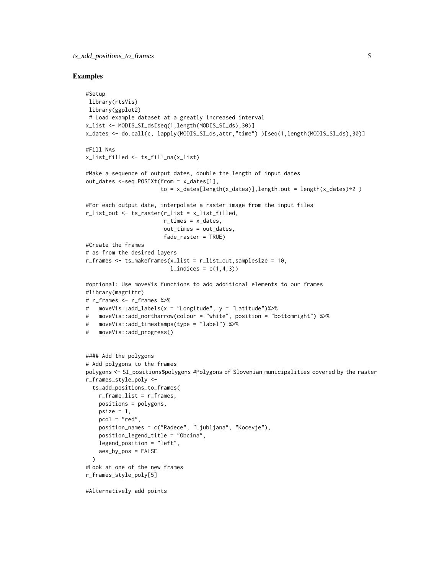#### Examples

```
#Setup
library(rtsVis)
library(ggplot2)
 # Load example dataset at a greatly increased interval
x_list <- MODIS_SI_ds[seq(1,length(MODIS_SI_ds),30)]
x_dates <- do.call(c, lapply(MODIS_SI_ds,attr,"time") )[seq(1,length(MODIS_SI_ds),30)]
#Fill NAs
x_list_filled <- ts_fill_na(x_list)
#Make a sequence of output dates, double the length of input dates
out_dates <-seq.POSIXt(from = x_dates[1],
                       to = x_dates[length(x_dates)],length.out = length(x_dates)*2 )
#For each output date, interpolate a raster image from the input files
r_list_out <- ts_raster(r_list = x_list_filled,
                        r_times = x_dates,
                        out_times = out_dates,
                        fade_raster = TRUE)
#Create the frames
# as from the desired layers
r_frames \leq ts_makeframes(x_list = r_flist_out, samplesize = 10,
                          l\_indices = c(1, 4, 3)#optional: Use moveVis functions to add additional elements to our frames
#library(magrittr)
# r_frames <- r_frames %>%
# moveVis::add_labels(x = "Longitude", y = "Latitude")%>%
# moveVis::add_northarrow(colour = "white", position = "bottomright") %>%
# moveVis::add_timestamps(type = "label") %>%
# moveVis::add_progress()
#### Add the polygons
# Add polygons to the frames
polygons <- SI_positions$polygons #Polygons of Slovenian municipalities covered by the raster
r_frames_style_poly <-
  ts_add_positions_to_frames(
   r_frame_list = r_frames,
   positions = polygons,
   psize = 1,
   pcol = "red",
   position_names = c("Radece", "Ljubljana", "Kocevje"),
    position_legend_title = "Obcina",
   legend_position = "left",
    aes_by_pos = FALSE
  )
#Look at one of the new frames
r_frames_style_poly[5]
#Alternatively add points
```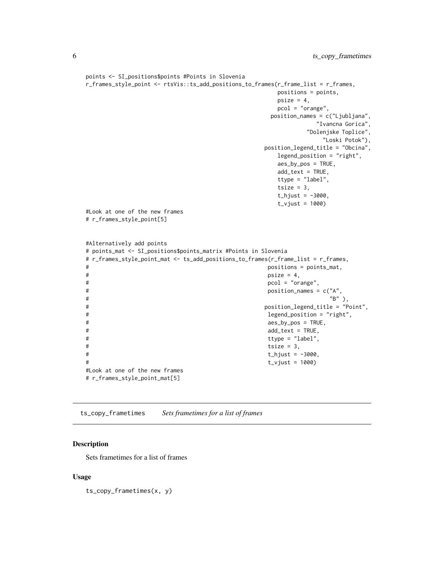```
points <- SI_positions$points #Points in Slovenia
r_frames_style_point <- rtsVis::ts_add_positions_to_frames(r_frame_list = r_frames,
                                    positions = points,
                                    psize = 4,
                                    pcol = "orange",
                                   position_names = c("Ljubljana",
                                           "Ivancna Gorica",
                                          "Dolenjske Toplice",
                                             "Loski Potok"),
                                  position_legend_title = "Obcina",
                                    legend_position = "right",
                                    aes_by_pos = TRUE,
                                    add_text = TRUE,
                                    ttype = "label",
                                    tsize = 3,
                                    t_{\text{+}}hjust = -3000,
                                    t_vjust = 1000)
#Look at one of the new frames
# r_frames_style_point[5]
#Alternatively add points
# points_mat <- SI_positions$points_matrix #Points in Slovenia
# r_frames_style_point_mat <- ts_add_positions_to_frames(r_frame_list = r_frames,
# positions = points_mat,
# psize = 4,
# pcol = "orange",
# position_names = c("A",
^{\prime\prime} B" ), ^{\prime\prime} B" ), ^{\prime\prime}# position_legend_title = "Point",
# legend_position = "right",
# aes_by_pos = TRUE,
# add_text = TRUE,
# ttype = "label",
# tsize = 3,
# t_hjust = -3000,
# t_vjust = 1000)
#Look at one of the new frames
# r_frames_style_point_mat[5]
```
ts\_copy\_frametimes *Sets frametimes for a list of frames*

#### Description

Sets frametimes for a list of frames

#### Usage

ts\_copy\_frametimes(x, y)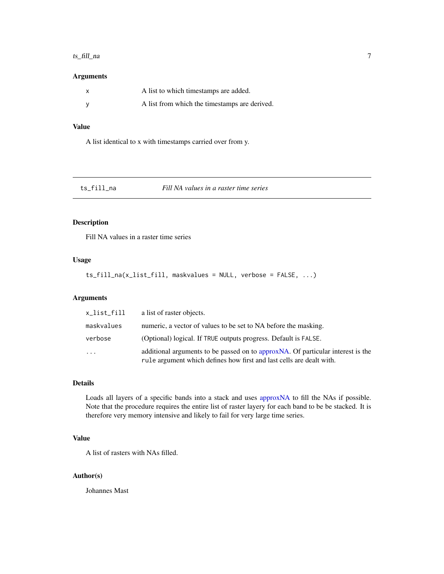#### <span id="page-6-0"></span> $ts\_fill\_na$  7

#### Arguments

| A list to which timestamps are added.         |
|-----------------------------------------------|
| A list from which the timestamps are derived. |

#### Value

A list identical to x with timestamps carried over from y.

| ts_fill_na | Fill NA values in a raster time series |  |  |
|------------|----------------------------------------|--|--|
|------------|----------------------------------------|--|--|

#### Description

Fill NA values in a raster time series

#### Usage

ts\_fill\_na(x\_list\_fill, maskvalues = NULL, verbose = FALSE, ...)

#### Arguments

| x_list_fill | a list of raster objects.                                                                                                                                |
|-------------|----------------------------------------------------------------------------------------------------------------------------------------------------------|
| maskvalues  | numeric, a vector of values to be set to NA before the masking.                                                                                          |
| verbose     | (Optional) logical. If TRUE outputs progress. Default is FALSE.                                                                                          |
| $\cdot$     | additional arguments to be passed on to approx NA. Of particular interest is the<br>rule argument which defines how first and last cells are dealt with. |

#### Details

Loads all layers of a specific bands into a stack and uses [approxNA](#page-0-0) to fill the NAs if possible. Note that the procedure requires the entire list of raster layery for each band to be be stacked. It is therefore very memory intensive and likely to fail for very large time series.

#### Value

A list of rasters with NAs filled.

#### Author(s)

Johannes Mast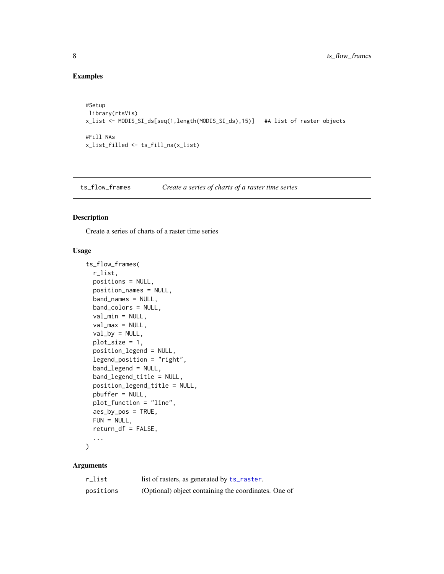#### Examples

```
#Setup
library(rtsVis)
x_list <- MODIS_SI_ds[seq(1,length(MODIS_SI_ds),15)] #A list of raster objects
#Fill NAs
x_list_filled <- ts_fill_na(x_list)
```
ts\_flow\_frames *Create a series of charts of a raster time series*

#### Description

Create a series of charts of a raster time series

#### Usage

```
ts_flow_frames(
  r_list,
 positions = NULL,
 position_names = NULL,
  band_names = NULL,
 band_colors = NULL,
  val_min = NULL,
  val_max = NULL,val_by = NULL,
  plot_size = 1,
  position_legend = NULL,
  legend_position = "right",
  band_legend = NULL,
  band_legend_title = NULL,
  position_legend_title = NULL,
  pbuffer = NULL,
  plot_function = "line",
  aes_by_pos = TRUE,
  FUN = NULL,
  return_df = FALSE,
  ...
\mathcal{L}
```
#### Arguments

| r_list    | list of rasters, as generated by ts_raster.          |
|-----------|------------------------------------------------------|
| positions | (Optional) object containing the coordinates. One of |

<span id="page-7-0"></span>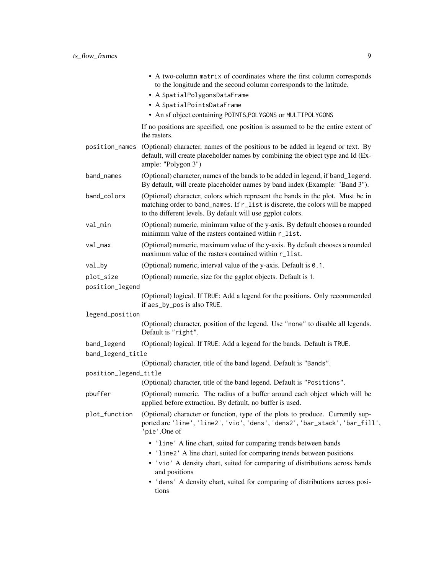|                       | • A two-column matrix of coordinates where the first column corresponds<br>to the longitude and the second column corresponds to the latitude.<br>• A SpatialPolygonsDataFrame<br>• A SpatialPointsDataFrame                    |
|-----------------------|---------------------------------------------------------------------------------------------------------------------------------------------------------------------------------------------------------------------------------|
|                       | • An sf object containing POINTS, POLYGONS or MULTIPOLYGONS                                                                                                                                                                     |
|                       | If no positions are specified, one position is assumed to be the entire extent of<br>the rasters.                                                                                                                               |
| position_names        | (Optional) character, names of the positions to be added in legend or text. By<br>default, will create placeholder names by combining the object type and Id (Ex-<br>ample: "Polygon 3")                                        |
| band_names            | (Optional) character, names of the bands to be added in legend, if band_legend.<br>By default, will create placeholder names by band index (Example: "Band 3").                                                                 |
| band_colors           | (Optional) character, colors which represent the bands in the plot. Must be in<br>matching order to band_names. If r_list is discrete, the colors will be mapped<br>to the different levels. By default will use ggplot colors. |
| val_min               | (Optional) numeric, minimum value of the y-axis. By default chooses a rounded<br>minimum value of the rasters contained within r_list.                                                                                          |
| val_max               | (Optional) numeric, maximum value of the y-axis. By default chooses a rounded<br>maximum value of the rasters contained within r_list.                                                                                          |
| val_by                | (Optional) numeric, interval value of the y-axis. Default is 0.1.                                                                                                                                                               |
| plot_size             | (Optional) numeric, size for the ggplot objects. Default is 1.                                                                                                                                                                  |
| position_legend       |                                                                                                                                                                                                                                 |
|                       | (Optional) logical. If TRUE: Add a legend for the positions. Only recommended<br>if aes_by_pos is also TRUE.                                                                                                                    |
| legend_position       |                                                                                                                                                                                                                                 |
|                       | (Optional) character, position of the legend. Use "none" to disable all legends.<br>Default is "right".                                                                                                                         |
| band_legend           | (Optional) logical. If TRUE: Add a legend for the bands. Default is TRUE.                                                                                                                                                       |
| band_legend_title     |                                                                                                                                                                                                                                 |
|                       | (Optional) character, title of the band legend. Default is "Bands".                                                                                                                                                             |
| position_legend_title |                                                                                                                                                                                                                                 |
|                       | (Optional) character, title of the band legend. Default is "Positions".                                                                                                                                                         |
| pbuffer               | (Optional) numeric. The radius of a buffer around each object which will be<br>applied before extraction. By default, no buffer is used.                                                                                        |
| plot_function         | (Optional) character or function, type of the plots to produce. Currently sup-<br>ported are 'line', 'line2', 'vio', 'dens', 'dens2', 'bar_stack', 'bar_fill',<br>'pie'.One of                                                  |
|                       | • 'line' A line chart, suited for comparing trends between bands                                                                                                                                                                |
|                       | • 'line2' A line chart, suited for comparing trends between positions                                                                                                                                                           |
|                       | • 'vio' A density chart, suited for comparing of distributions across bands<br>and positions                                                                                                                                    |
|                       | • 'dens' A density chart, suited for comparing of distributions across posi-<br>tions                                                                                                                                           |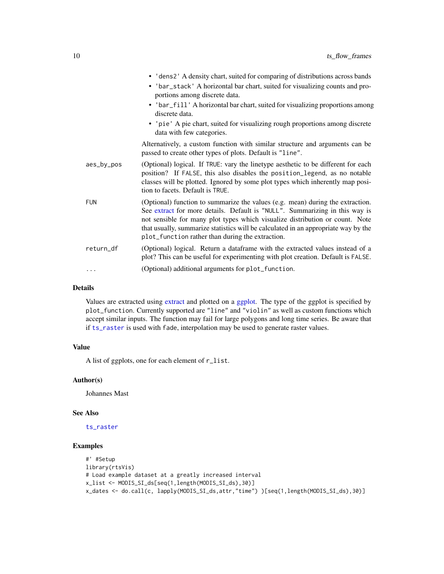<span id="page-9-0"></span>

|            | • 'dens2' A density chart, suited for comparing of distributions across bands                                                                                                                                                                                                                                                                                                           |
|------------|-----------------------------------------------------------------------------------------------------------------------------------------------------------------------------------------------------------------------------------------------------------------------------------------------------------------------------------------------------------------------------------------|
|            | • 'bar_stack' A horizontal bar chart, suited for visualizing counts and pro-<br>portions among discrete data.                                                                                                                                                                                                                                                                           |
|            | • 'bar_fill' A horizontal bar chart, suited for visualizing proportions among<br>discrete data.                                                                                                                                                                                                                                                                                         |
|            | • 'pie' A pie chart, suited for visualizing rough proportions among discrete<br>data with few categories.                                                                                                                                                                                                                                                                               |
|            | Alternatively, a custom function with similar structure and arguments can be<br>passed to create other types of plots. Default is "line".                                                                                                                                                                                                                                               |
| aes_by_pos | (Optional) logical. If TRUE: vary the linetype aesthetic to be different for each<br>position? If FALSE, this also disables the position_legend, as no notable<br>classes will be plotted. Ignored by some plot types which inherently map posi-<br>tion to facets. Default is TRUE.                                                                                                    |
| <b>FUN</b> | (Optional) function to summarize the values (e.g. mean) during the extraction.<br>See extract for more details. Default is "NULL". Summarizing in this way is<br>not sensible for many plot types which visualize distribution or count. Note<br>that usually, summarize statistics will be calculated in an appropriate way by the<br>plot_function rather than during the extraction. |
| return_df  | (Optional) logical. Return a dataframe with the extracted values instead of a<br>plot? This can be useful for experimenting with plot creation. Default is FALSE.                                                                                                                                                                                                                       |
| $\cdots$   | (Optional) additional arguments for plot_function.                                                                                                                                                                                                                                                                                                                                      |

#### Details

Values are extracted using [extract](#page-0-0) and plotted on a [ggplot.](#page-0-0) The type of the ggplot is specified by plot\_function. Currently supported are "line" and "violin" as well as custom functions which accept similar inputs. The function may fail for large polygons and long time series. Be aware that if [ts\\_raster](#page-13-1) is used with fade, interpolation may be used to generate raster values.

#### Value

A list of ggplots, one for each element of r\_list.

#### Author(s)

Johannes Mast

#### See Also

[ts\\_raster](#page-13-1)

#### Examples

```
#' #Setup
library(rtsVis)
# Load example dataset at a greatly increased interval
x_list <- MODIS_SI_ds[seq(1,length(MODIS_SI_ds),30)]
x_dates <- do.call(c, lapply(MODIS_SI_ds,attr,"time") )[seq(1,length(MODIS_SI_ds),30)]
```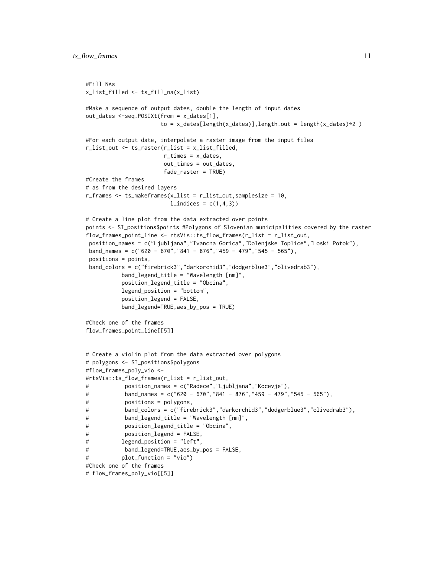```
#Fill NAs
x_list_filled <- ts_fill_na(x_list)
#Make a sequence of output dates, double the length of input dates
out_dates <-seq.POSIXt(from = x_dates[1],
                      to = x_dates[length(x_dates)],length.out = length(x_dates)*2 )
#For each output date, interpolate a raster image from the input files
r_list_out <- ts_raster(r_list = x_list_filled,
                       r_times = x_dates,
                       out_times = out_dates,
                       fade_raster = TRUE)
#Create the frames
# as from the desired layers
r_frames \leq ts_makeframes(x_list = r_flist_out, samplesize = 10,
                         l\_indices = c(1, 4, 3)# Create a line plot from the data extracted over points
points <- SI_positions$points #Polygons of Slovenian municipalities covered by the raster
flow_frames_point_line <- rtsVis::ts_flow_frames(r_list = r_list_out,
position_names = c("Ljubljana","Ivancna Gorica","Dolenjske Toplice","Loski Potok"),
band_names = c("620 - 670","841 - 876","459 - 479","545 - 565"),
 positions = points,
 band_colors = c("firebrick3","darkorchid3","dodgerblue3","olivedrab3"),
          band_legend_title = "Wavelength [nm]",
          position_legend_title = "Obcina",
          legend_position = "bottom",
          position_legend = FALSE,
          band_legend=TRUE,aes_by_pos = TRUE)
#Check one of the frames
flow_frames_point_line[[5]]
# Create a violin plot from the data extracted over polygons
# polygons <- SI_positions$polygons
#flow_frames_poly_vio <-
#rtsVis::ts_flow_frames(r_list = r_list_out,
# position_names = c("Radece","Ljubljana","Kocevje"),
# band_names = c("620 - 670","841 - 876","459 - 479","545 - 565"),
# positions = polygons,
# band_colors = c("firebrick3","darkorchid3","dodgerblue3","olivedrab3"),
# band_legend_title = "Wavelength [nm]",
# position_legend_title = "Obcina",
# position_legend = FALSE,
# legend_position = "left",
# band_legend=TRUE,aes_by_pos = FALSE,
# plot_function = "vio")
#Check one of the frames
# flow_frames_poly_vio[[5]]
```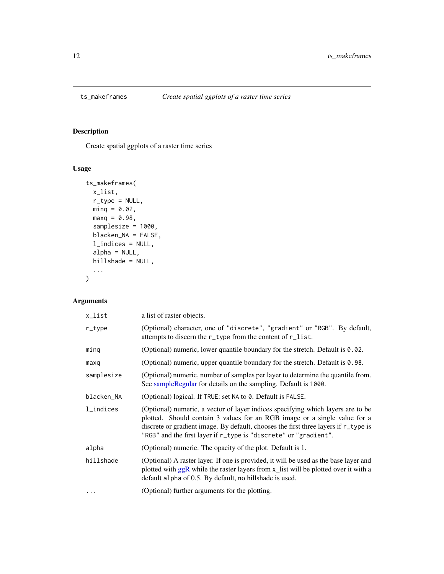<span id="page-11-1"></span><span id="page-11-0"></span>

#### Description

Create spatial ggplots of a raster time series

#### Usage

```
ts_makeframes(
 x_list,
 r_type = NULL,
 minq = 0.02,
 maxq = 0.98,
 samplesize = 1000,
 blacken_NA = FALSE,
  l_indices = NULL,
 alpha = NULL,
 hillshade = NULL,
  ...
)
```
#### Arguments

| x_list     | a list of raster objects.                                                                                                                                                                                                                                                                                               |
|------------|-------------------------------------------------------------------------------------------------------------------------------------------------------------------------------------------------------------------------------------------------------------------------------------------------------------------------|
| $r_t$ ype  | (Optional) character, one of "discrete", "gradient" or "RGB". By default,<br>attempts to discern the r_type from the content of r_list.                                                                                                                                                                                 |
| ming       | (Optional) numeric, lower quantile boundary for the stretch. Default is 0.02.                                                                                                                                                                                                                                           |
| maxq       | (Optional) numeric, upper quantile boundary for the stretch. Default is $0.98$ .                                                                                                                                                                                                                                        |
| samplesize | (Optional) numeric, number of samples per layer to determine the quantile from.<br>See sample Regular for details on the sampling. Default is 1000.                                                                                                                                                                     |
| blacken_NA | (Optional) logical. If TRUE: set NA to 0. Default is FALSE.                                                                                                                                                                                                                                                             |
| l_indices  | (Optional) numeric, a vector of layer indices specifying which layers are to be<br>plotted. Should contain 3 values for an RGB image or a single value for a<br>discrete or gradient image. By default, chooses the first three layers if r_type is<br>"RGB" and the first layer if r_type is "discrete" or "gradient". |
| alpha      | (Optional) numeric. The opacity of the plot. Default is 1.                                                                                                                                                                                                                                                              |
| hillshade  | (Optional) A raster layer. If one is provided, it will be used as the base layer and<br>plotted with ggR while the raster layers from x_list will be plotted over it with a<br>default alpha of 0.5. By default, no hillshade is used.                                                                                  |
| .          | (Optional) further arguments for the plotting.                                                                                                                                                                                                                                                                          |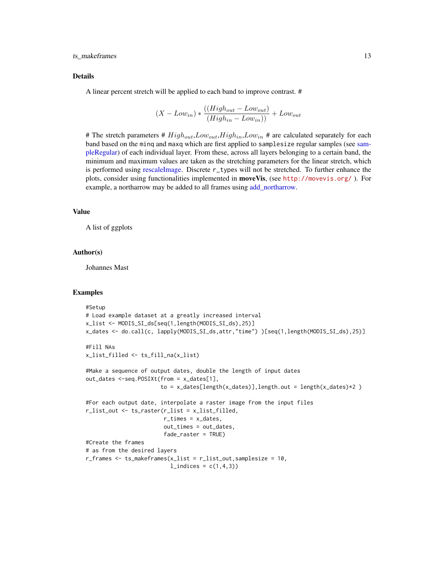#### <span id="page-12-0"></span>ts\_makeframes 13

#### Details

A linear percent stretch will be applied to each band to improve contrast. #

$$
(X - Low_{in}) * \frac{((High_{out} - Low_{out})}{(High_{in} - Low_{in}))} + Low_{out}
$$

# The stretch parameters #  $High_{out}, Low_{out}, High_{in}, Low_{in}$  # are calculated separately for each band based on the minq and maxq which are first applied to samplesize regular samples (see [sam](#page-0-0)[pleRegular\)](#page-0-0) of each individual layer. From these, across all layers belonging to a certain band, the minimum and maximum values are taken as the stretching parameters for the linear stretch, which is performed using [rescaleImage.](#page-0-0) Discrete r\_types will not be stretched. To further enhance the plots, consider using functionalities implemented in **moveVis**, (see <http://movevis.org/>). For example, a northarrow may be added to all frames using [add\\_northarrow.](#page-0-0)

#### Value

A list of ggplots

#### Author(s)

Johannes Mast

#### Examples

```
#Setup
# Load example dataset at a greatly increased interval
x_list <- MODIS_SI_ds[seq(1,length(MODIS_SI_ds),25)]
x_dates <- do.call(c, lapply(MODIS_SI_ds,attr,"time") )[seq(1,length(MODIS_SI_ds),25)]
#Fill NAs
x_list_filled <- ts_fill_na(x_list)
#Make a sequence of output dates, double the length of input dates
out_dates <-seq.POSIXt(from = x_dates[1],
                         to = x_d \text{ates}[\text{length}(x_d \text{ates})], \text{length}.\text{out} = \text{length}(x_d \text{ates}) \times 2)#For each output date, interpolate a raster image from the input files
r_list_out <- ts_raster(r_list = x_list_filled,
                          r_times = x_dates,
                          out_times = out_dates,
                          fade_raster = TRUE)
#Create the frames
# as from the desired layers
r_frames <- ts_makeframes(x_list = r_list_out,samplesize = 10,
                            l\_indices = c(1, 4, 3)
```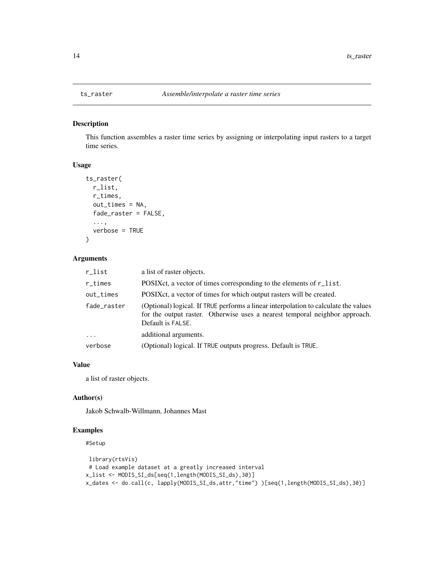#### Description

This function assembles a raster time series by assigning or interpolating input rasters to a target time series.

#### Usage

```
ts_raster(
  r_list,
  r_times,
  out_times = NA,
  fade_raster = FALSE,
  ...,
  verbose = TRUE
\lambda
```
#### Arguments

| r_list      | a list of raster objects.                                                                                                                                                               |
|-------------|-----------------------------------------------------------------------------------------------------------------------------------------------------------------------------------------|
| $r_t$ times | POSIX ct, a vector of times corresponding to the elements of r_list.                                                                                                                    |
| out_times   | POSIX ct, a vector of times for which output rasters will be created.                                                                                                                   |
| fade_raster | (Optional) logical. If TRUE performs a linear interpolation to calculate the values<br>for the output raster. Otherwise uses a nearest temporal neighbor approach.<br>Default is FALSE. |
| $\ddots$    | additional arguments.                                                                                                                                                                   |
| verbose     | (Optional) logical. If TRUE outputs progress. Default is TRUE.                                                                                                                          |

#### Value

a list of raster objects.

#### Author(s)

Jakob Schwalb-Willmann, Johannes Mast

#### Examples

#### #Setup

```
library(rtsVis)
# Load example dataset at a greatly increased interval
x_list <- MODIS_SI_ds[seq(1,length(MODIS_SI_ds),30)]
x_dates <- do.call(c, lapply(MODIS_SI_ds,attr,"time") )[seq(1,length(MODIS_SI_ds),30)]
```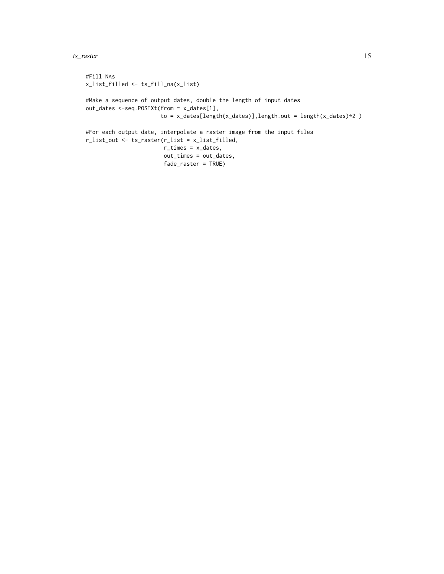ts\_raster 15

```
#Fill NAs
x_list_filled <- ts_fill_na(x_list)
#Make a sequence of output dates, double the length of input dates
out_dates <-seq.POSIXt(from = x_dates[1],
                      to = x_data[length(x_data)], length.out = length(x_data) > 2 )
#For each output date, interpolate a raster image from the input files
r_list_out <- ts_raster(r_list = x_list_filled,
                       r_times = x_dates,
                       out_times = out_dates,
                       fade_raster = TRUE)
```